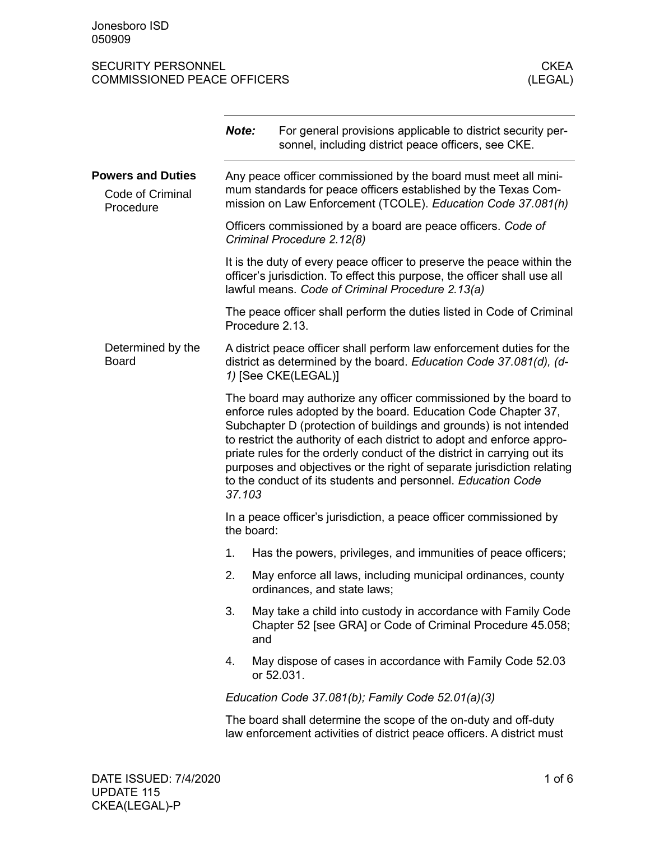|                                                           | Note:                                                                                                                                                                                                                                                                                                                                                                                                                                                                                                              | For general provisions applicable to district security per-<br>sonnel, including district peace officers, see CKE.                                                                                      |  |
|-----------------------------------------------------------|--------------------------------------------------------------------------------------------------------------------------------------------------------------------------------------------------------------------------------------------------------------------------------------------------------------------------------------------------------------------------------------------------------------------------------------------------------------------------------------------------------------------|---------------------------------------------------------------------------------------------------------------------------------------------------------------------------------------------------------|--|
| <b>Powers and Duties</b><br>Code of Criminal<br>Procedure |                                                                                                                                                                                                                                                                                                                                                                                                                                                                                                                    | Any peace officer commissioned by the board must meet all mini-<br>mum standards for peace officers established by the Texas Com-<br>mission on Law Enforcement (TCOLE). Education Code 37.081(h)       |  |
|                                                           |                                                                                                                                                                                                                                                                                                                                                                                                                                                                                                                    | Officers commissioned by a board are peace officers. Code of<br>Criminal Procedure 2.12(8)                                                                                                              |  |
|                                                           |                                                                                                                                                                                                                                                                                                                                                                                                                                                                                                                    | It is the duty of every peace officer to preserve the peace within the<br>officer's jurisdiction. To effect this purpose, the officer shall use all<br>lawful means. Code of Criminal Procedure 2.13(a) |  |
|                                                           |                                                                                                                                                                                                                                                                                                                                                                                                                                                                                                                    | The peace officer shall perform the duties listed in Code of Criminal<br>Procedure 2.13.                                                                                                                |  |
| Determined by the<br><b>Board</b>                         |                                                                                                                                                                                                                                                                                                                                                                                                                                                                                                                    | A district peace officer shall perform law enforcement duties for the<br>district as determined by the board. Education Code 37.081(d), (d-<br>1) [See CKE(LEGAL)]                                      |  |
|                                                           | The board may authorize any officer commissioned by the board to<br>enforce rules adopted by the board. Education Code Chapter 37,<br>Subchapter D (protection of buildings and grounds) is not intended<br>to restrict the authority of each district to adopt and enforce appro-<br>priate rules for the orderly conduct of the district in carrying out its<br>purposes and objectives or the right of separate jurisdiction relating<br>to the conduct of its students and personnel. Education Code<br>37.103 |                                                                                                                                                                                                         |  |
|                                                           | the board:                                                                                                                                                                                                                                                                                                                                                                                                                                                                                                         | In a peace officer's jurisdiction, a peace officer commissioned by                                                                                                                                      |  |
|                                                           | 1.                                                                                                                                                                                                                                                                                                                                                                                                                                                                                                                 | Has the powers, privileges, and immunities of peace officers;                                                                                                                                           |  |
|                                                           | 2.                                                                                                                                                                                                                                                                                                                                                                                                                                                                                                                 | May enforce all laws, including municipal ordinances, county<br>ordinances, and state laws;                                                                                                             |  |
|                                                           | 3.<br>and                                                                                                                                                                                                                                                                                                                                                                                                                                                                                                          | May take a child into custody in accordance with Family Code<br>Chapter 52 [see GRA] or Code of Criminal Procedure 45.058;                                                                              |  |
|                                                           | 4.                                                                                                                                                                                                                                                                                                                                                                                                                                                                                                                 | May dispose of cases in accordance with Family Code 52.03<br>or 52.031.                                                                                                                                 |  |
|                                                           |                                                                                                                                                                                                                                                                                                                                                                                                                                                                                                                    | Education Code 37.081(b); Family Code 52.01(a)(3)                                                                                                                                                       |  |
|                                                           |                                                                                                                                                                                                                                                                                                                                                                                                                                                                                                                    | The board shall determine the scope of the on-duty and off-duty<br>law enforcement activities of district peace officers. A district must                                                               |  |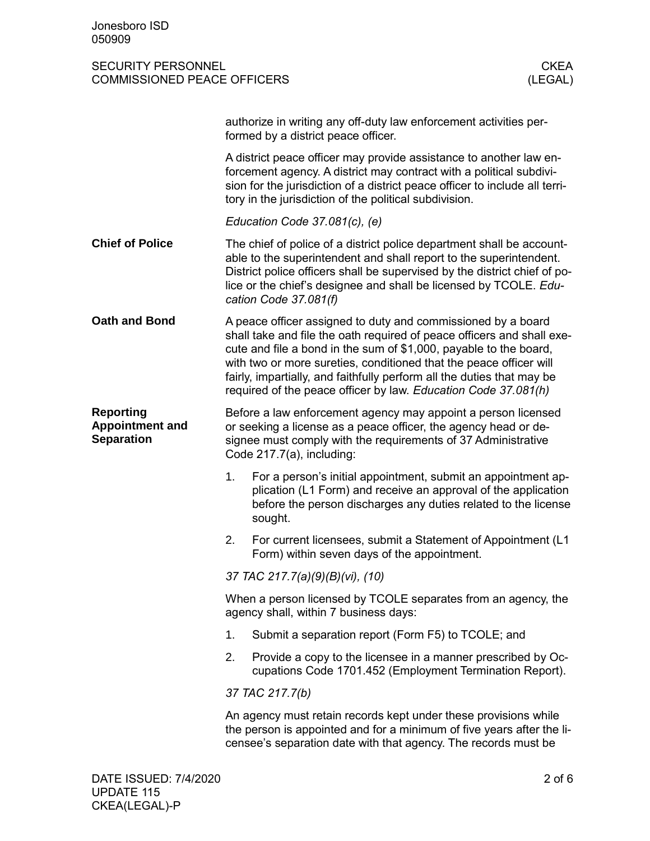|                                                                 |                                                                                                                                                                                                                                                                                                                                                                                                                               | authorize in writing any off-duty law enforcement activities per-<br>formed by a district peace officer.                                                                                                                                                                                                               |  |
|-----------------------------------------------------------------|-------------------------------------------------------------------------------------------------------------------------------------------------------------------------------------------------------------------------------------------------------------------------------------------------------------------------------------------------------------------------------------------------------------------------------|------------------------------------------------------------------------------------------------------------------------------------------------------------------------------------------------------------------------------------------------------------------------------------------------------------------------|--|
|                                                                 |                                                                                                                                                                                                                                                                                                                                                                                                                               | A district peace officer may provide assistance to another law en-<br>forcement agency. A district may contract with a political subdivi-<br>sion for the jurisdiction of a district peace officer to include all terri-<br>tory in the jurisdiction of the political subdivision.                                     |  |
|                                                                 |                                                                                                                                                                                                                                                                                                                                                                                                                               | Education Code $37.081(c)$ , (e)                                                                                                                                                                                                                                                                                       |  |
| <b>Chief of Police</b>                                          |                                                                                                                                                                                                                                                                                                                                                                                                                               | The chief of police of a district police department shall be account-<br>able to the superintendent and shall report to the superintendent.<br>District police officers shall be supervised by the district chief of po-<br>lice or the chief's designee and shall be licensed by TCOLE. Edu-<br>cation Code 37.081(f) |  |
| <b>Oath and Bond</b>                                            | A peace officer assigned to duty and commissioned by a board<br>shall take and file the oath required of peace officers and shall exe-<br>cute and file a bond in the sum of \$1,000, payable to the board,<br>with two or more sureties, conditioned that the peace officer will<br>fairly, impartially, and faithfully perform all the duties that may be<br>required of the peace officer by law. Education Code 37.081(h) |                                                                                                                                                                                                                                                                                                                        |  |
| <b>Reporting</b><br><b>Appointment and</b><br><b>Separation</b> | Before a law enforcement agency may appoint a person licensed<br>or seeking a license as a peace officer, the agency head or de-<br>signee must comply with the requirements of 37 Administrative<br>Code 217.7(a), including:                                                                                                                                                                                                |                                                                                                                                                                                                                                                                                                                        |  |
|                                                                 | 1.                                                                                                                                                                                                                                                                                                                                                                                                                            | For a person's initial appointment, submit an appointment ap-<br>plication (L1 Form) and receive an approval of the application<br>before the person discharges any duties related to the license<br>sought.                                                                                                           |  |
|                                                                 | 2.                                                                                                                                                                                                                                                                                                                                                                                                                            | For current licensees, submit a Statement of Appointment (L1<br>Form) within seven days of the appointment.                                                                                                                                                                                                            |  |
|                                                                 |                                                                                                                                                                                                                                                                                                                                                                                                                               | 37 TAC 217.7(a)(9)(B)(vi), (10)                                                                                                                                                                                                                                                                                        |  |
|                                                                 | When a person licensed by TCOLE separates from an agency, the<br>agency shall, within 7 business days:                                                                                                                                                                                                                                                                                                                        |                                                                                                                                                                                                                                                                                                                        |  |
|                                                                 | 1.                                                                                                                                                                                                                                                                                                                                                                                                                            | Submit a separation report (Form F5) to TCOLE; and                                                                                                                                                                                                                                                                     |  |
|                                                                 | 2.                                                                                                                                                                                                                                                                                                                                                                                                                            | Provide a copy to the licensee in a manner prescribed by Oc-<br>cupations Code 1701.452 (Employment Termination Report).                                                                                                                                                                                               |  |
|                                                                 |                                                                                                                                                                                                                                                                                                                                                                                                                               | 37 TAC 217.7(b)                                                                                                                                                                                                                                                                                                        |  |
|                                                                 |                                                                                                                                                                                                                                                                                                                                                                                                                               | An agency must retain records kept under these provisions while<br>the person is appointed and for a minimum of five years after the li-<br>censee's separation date with that agency. The records must be                                                                                                             |  |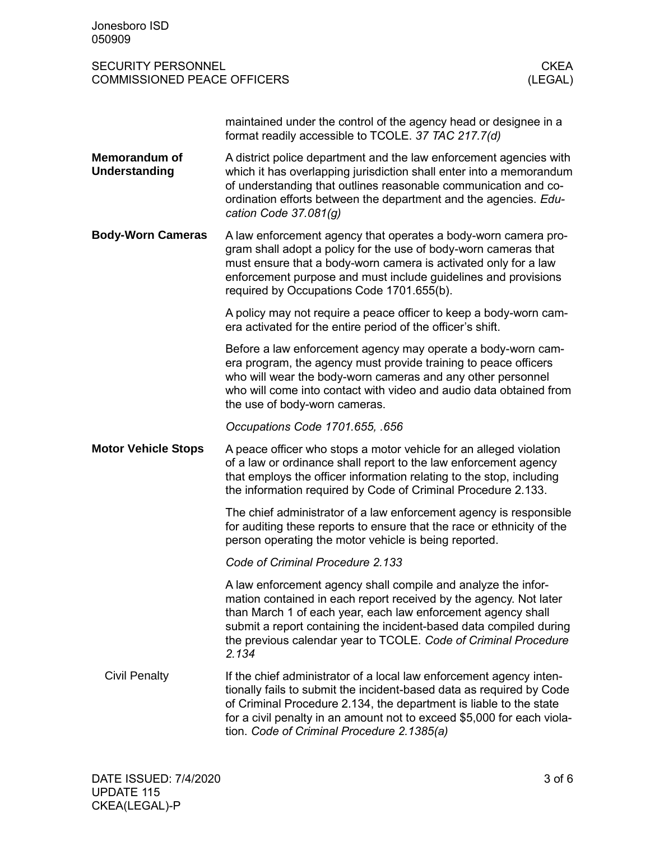| Jonesboro ISD<br>050909                                                                   |                                                                                                                                                                                                                                                                                                                                                      |  |
|-------------------------------------------------------------------------------------------|------------------------------------------------------------------------------------------------------------------------------------------------------------------------------------------------------------------------------------------------------------------------------------------------------------------------------------------------------|--|
| <b>SECURITY PERSONNEL</b><br><b>CKEA</b><br><b>COMMISSIONED PEACE OFFICERS</b><br>(LEGAL) |                                                                                                                                                                                                                                                                                                                                                      |  |
|                                                                                           | maintained under the control of the agency head or designee in a<br>format readily accessible to TCOLE. 37 TAC 217.7(d)                                                                                                                                                                                                                              |  |
| <b>Memorandum of</b><br><b>Understanding</b>                                              | A district police department and the law enforcement agencies with<br>which it has overlapping jurisdiction shall enter into a memorandum<br>of understanding that outlines reasonable communication and co-<br>ordination efforts between the department and the agencies. Edu-<br>cation Code 37.081(g)                                            |  |
| <b>Body-Worn Cameras</b>                                                                  | A law enforcement agency that operates a body-worn camera pro-<br>gram shall adopt a policy for the use of body-worn cameras that<br>must ensure that a body-worn camera is activated only for a law<br>enforcement purpose and must include guidelines and provisions<br>required by Occupations Code 1701.655(b).                                  |  |
|                                                                                           | A policy may not require a peace officer to keep a body-worn cam-<br>era activated for the entire period of the officer's shift.                                                                                                                                                                                                                     |  |
|                                                                                           | Before a law enforcement agency may operate a body-worn cam-<br>era program, the agency must provide training to peace officers<br>who will wear the body-worn cameras and any other personnel<br>who will come into contact with video and audio data obtained from<br>the use of body-worn cameras.                                                |  |
|                                                                                           | Occupations Code 1701.655, .656                                                                                                                                                                                                                                                                                                                      |  |
| <b>Motor Vehicle Stops</b>                                                                | A peace officer who stops a motor vehicle for an alleged violation<br>of a law or ordinance shall report to the law enforcement agency<br>that employs the officer information relating to the stop, including<br>the information required by Code of Criminal Procedure 2.133.                                                                      |  |
|                                                                                           | The chief administrator of a law enforcement agency is responsible<br>for auditing these reports to ensure that the race or ethnicity of the<br>person operating the motor vehicle is being reported.                                                                                                                                                |  |
|                                                                                           | Code of Criminal Procedure 2.133                                                                                                                                                                                                                                                                                                                     |  |
|                                                                                           | A law enforcement agency shall compile and analyze the infor-<br>mation contained in each report received by the agency. Not later<br>than March 1 of each year, each law enforcement agency shall<br>submit a report containing the incident-based data compiled during<br>the previous calendar year to TCOLE. Code of Criminal Procedure<br>2.134 |  |
| <b>Civil Penalty</b>                                                                      | If the chief administrator of a local law enforcement agency inten-<br>tionally fails to submit the incident-based data as required by Code<br>of Criminal Procedure 2.134, the department is liable to the state<br>for a civil penalty in an amount not to exceed \$5,000 for each viola-<br>tion. Code of Criminal Procedure 2.1385(a)            |  |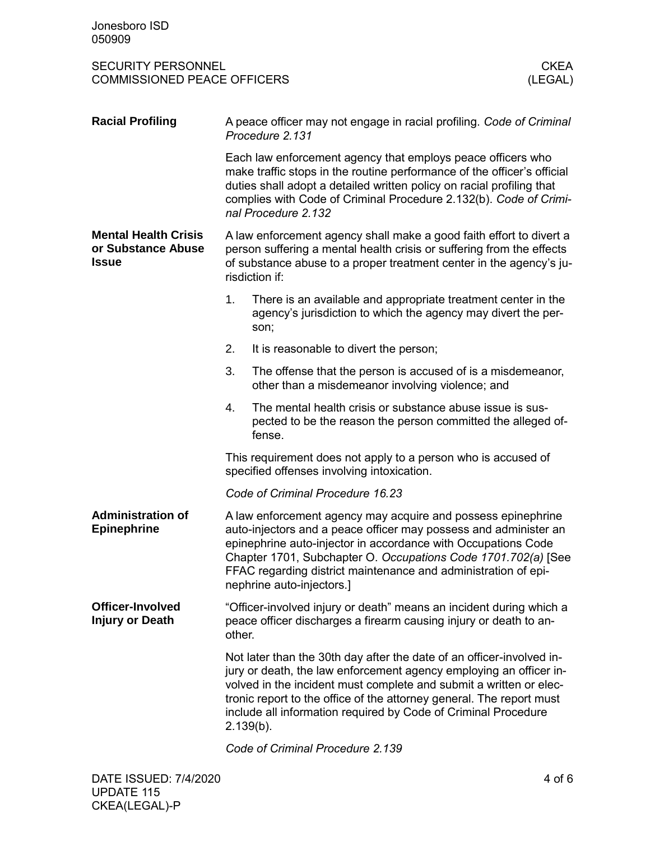| <b>Racial Profiling</b>                                           | A peace officer may not engage in racial profiling. Code of Criminal<br>Procedure 2.131                                                                                                                                                                                                                                                                                     |                                                                                                                                        |  |  |
|-------------------------------------------------------------------|-----------------------------------------------------------------------------------------------------------------------------------------------------------------------------------------------------------------------------------------------------------------------------------------------------------------------------------------------------------------------------|----------------------------------------------------------------------------------------------------------------------------------------|--|--|
|                                                                   | Each law enforcement agency that employs peace officers who<br>make traffic stops in the routine performance of the officer's official<br>duties shall adopt a detailed written policy on racial profiling that<br>complies with Code of Criminal Procedure 2.132(b). Code of Crimi-<br>nal Procedure 2.132                                                                 |                                                                                                                                        |  |  |
| <b>Mental Health Crisis</b><br>or Substance Abuse<br><b>Issue</b> | A law enforcement agency shall make a good faith effort to divert a<br>person suffering a mental health crisis or suffering from the effects<br>of substance abuse to a proper treatment center in the agency's ju-<br>risdiction if:                                                                                                                                       |                                                                                                                                        |  |  |
|                                                                   | 1.                                                                                                                                                                                                                                                                                                                                                                          | There is an available and appropriate treatment center in the<br>agency's jurisdiction to which the agency may divert the per-<br>son; |  |  |
|                                                                   | 2.                                                                                                                                                                                                                                                                                                                                                                          | It is reasonable to divert the person;                                                                                                 |  |  |
|                                                                   | 3.                                                                                                                                                                                                                                                                                                                                                                          | The offense that the person is accused of is a misdemeanor,<br>other than a misdemeanor involving violence; and                        |  |  |
|                                                                   | 4.                                                                                                                                                                                                                                                                                                                                                                          | The mental health crisis or substance abuse issue is sus-<br>pected to be the reason the person committed the alleged of-<br>fense.    |  |  |
|                                                                   | This requirement does not apply to a person who is accused of<br>specified offenses involving intoxication.                                                                                                                                                                                                                                                                 |                                                                                                                                        |  |  |
|                                                                   | Code of Criminal Procedure 16.23                                                                                                                                                                                                                                                                                                                                            |                                                                                                                                        |  |  |
| <b>Administration of</b><br><b>Epinephrine</b>                    | A law enforcement agency may acquire and possess epinephrine<br>auto-injectors and a peace officer may possess and administer an<br>epinephrine auto-injector in accordance with Occupations Code<br>Chapter 1701, Subchapter O. Occupations Code 1701.702(a) [See<br>FFAC regarding district maintenance and administration of epi-<br>nephrine auto-injectors.]           |                                                                                                                                        |  |  |
| <b>Officer-Involved</b><br><b>Injury or Death</b>                 | "Officer-involved injury or death" means an incident during which a<br>peace officer discharges a firearm causing injury or death to an-<br>other.                                                                                                                                                                                                                          |                                                                                                                                        |  |  |
|                                                                   | Not later than the 30th day after the date of an officer-involved in-<br>jury or death, the law enforcement agency employing an officer in-<br>volved in the incident must complete and submit a written or elec-<br>tronic report to the office of the attorney general. The report must<br>include all information required by Code of Criminal Procedure<br>$2.139(b)$ . |                                                                                                                                        |  |  |
|                                                                   |                                                                                                                                                                                                                                                                                                                                                                             | Code of Criminal Procedure 2.139                                                                                                       |  |  |
|                                                                   |                                                                                                                                                                                                                                                                                                                                                                             |                                                                                                                                        |  |  |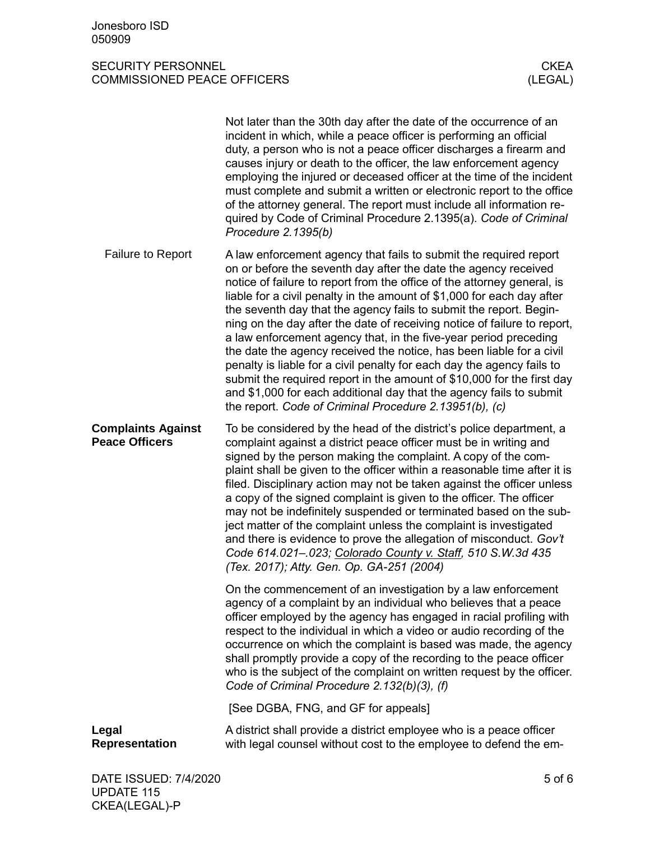|                                                    | Not later than the 30th day after the date of the occurrence of an<br>incident in which, while a peace officer is performing an official<br>duty, a person who is not a peace officer discharges a firearm and<br>causes injury or death to the officer, the law enforcement agency<br>employing the injured or deceased officer at the time of the incident<br>must complete and submit a written or electronic report to the office<br>of the attorney general. The report must include all information re-<br>quired by Code of Criminal Procedure 2.1395(a). Code of Criminal<br>Procedure 2.1395(b)                                                                                                                                                                                                                                                                     |
|----------------------------------------------------|------------------------------------------------------------------------------------------------------------------------------------------------------------------------------------------------------------------------------------------------------------------------------------------------------------------------------------------------------------------------------------------------------------------------------------------------------------------------------------------------------------------------------------------------------------------------------------------------------------------------------------------------------------------------------------------------------------------------------------------------------------------------------------------------------------------------------------------------------------------------------|
| <b>Failure to Report</b>                           | A law enforcement agency that fails to submit the required report<br>on or before the seventh day after the date the agency received<br>notice of failure to report from the office of the attorney general, is<br>liable for a civil penalty in the amount of \$1,000 for each day after<br>the seventh day that the agency fails to submit the report. Begin-<br>ning on the day after the date of receiving notice of failure to report,<br>a law enforcement agency that, in the five-year period preceding<br>the date the agency received the notice, has been liable for a civil<br>penalty is liable for a civil penalty for each day the agency fails to<br>submit the required report in the amount of \$10,000 for the first day<br>and \$1,000 for each additional day that the agency fails to submit<br>the report. Code of Criminal Procedure 2.13951(b), (c) |
| <b>Complaints Against</b><br><b>Peace Officers</b> | To be considered by the head of the district's police department, a<br>complaint against a district peace officer must be in writing and<br>signed by the person making the complaint. A copy of the com-<br>plaint shall be given to the officer within a reasonable time after it is<br>filed. Disciplinary action may not be taken against the officer unless<br>a copy of the signed complaint is given to the officer. The officer<br>may not be indefinitely suspended or terminated based on the sub-<br>ject matter of the complaint unless the complaint is investigated<br>and there is evidence to prove the allegation of misconduct. Gov't<br>Code 614.021-.023; Colorado County v. Staff, 510 S.W.3d 435<br>(Tex. 2017); Atty. Gen. Op. GA-251 (2004)                                                                                                          |
|                                                    | On the commencement of an investigation by a law enforcement<br>agency of a complaint by an individual who believes that a peace<br>officer employed by the agency has engaged in racial profiling with<br>respect to the individual in which a video or audio recording of the<br>occurrence on which the complaint is based was made, the agency<br>shall promptly provide a copy of the recording to the peace officer<br>who is the subject of the complaint on written request by the officer.<br>Code of Criminal Procedure 2.132(b)(3), (f)                                                                                                                                                                                                                                                                                                                           |
|                                                    | [See DGBA, FNG, and GF for appeals]                                                                                                                                                                                                                                                                                                                                                                                                                                                                                                                                                                                                                                                                                                                                                                                                                                          |
| Legal<br><b>Representation</b>                     | A district shall provide a district employee who is a peace officer<br>with legal counsel without cost to the employee to defend the em-                                                                                                                                                                                                                                                                                                                                                                                                                                                                                                                                                                                                                                                                                                                                     |
| DATE ISSUED: 7/4/2020                              | $5$ of $6$                                                                                                                                                                                                                                                                                                                                                                                                                                                                                                                                                                                                                                                                                                                                                                                                                                                                   |